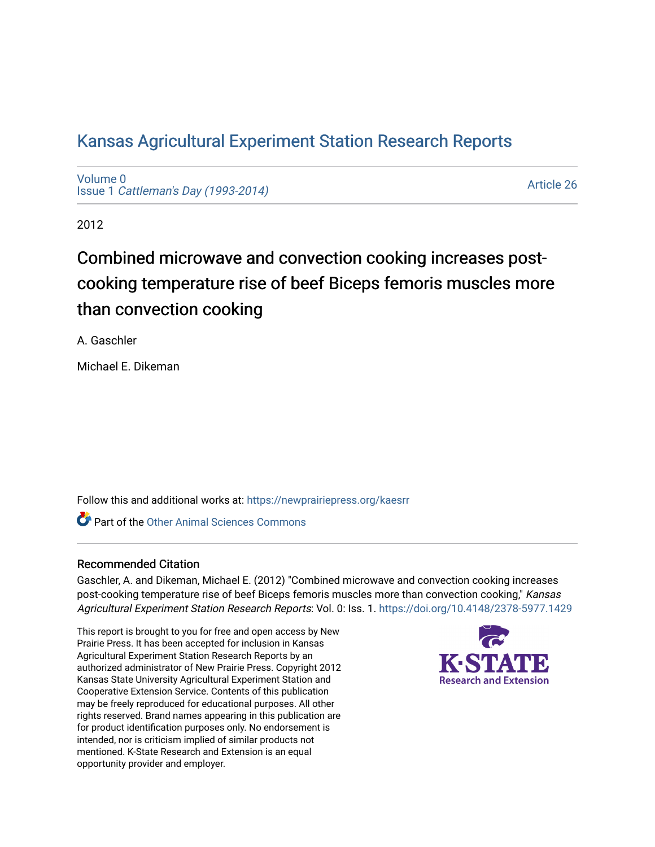# [Kansas Agricultural Experiment Station Research Reports](https://newprairiepress.org/kaesrr)

[Volume 0](https://newprairiepress.org/kaesrr/vol0) Issue 1 [Cattleman's Day \(1993-2014\)](https://newprairiepress.org/kaesrr/vol0/iss1) 

[Article 26](https://newprairiepress.org/kaesrr/vol0/iss1/26) 

2012

# Combined microwave and convection cooking increases postcooking temperature rise of beef Biceps femoris muscles more than convection cooking

A. Gaschler

Michael E. Dikeman

Follow this and additional works at: [https://newprairiepress.org/kaesrr](https://newprairiepress.org/kaesrr?utm_source=newprairiepress.org%2Fkaesrr%2Fvol0%2Fiss1%2F26&utm_medium=PDF&utm_campaign=PDFCoverPages) 

**C** Part of the [Other Animal Sciences Commons](http://network.bepress.com/hgg/discipline/82?utm_source=newprairiepress.org%2Fkaesrr%2Fvol0%2Fiss1%2F26&utm_medium=PDF&utm_campaign=PDFCoverPages)

### Recommended Citation

Gaschler, A. and Dikeman, Michael E. (2012) "Combined microwave and convection cooking increases post-cooking temperature rise of beef Biceps femoris muscles more than convection cooking," Kansas Agricultural Experiment Station Research Reports: Vol. 0: Iss. 1.<https://doi.org/10.4148/2378-5977.1429>

This report is brought to you for free and open access by New Prairie Press. It has been accepted for inclusion in Kansas Agricultural Experiment Station Research Reports by an authorized administrator of New Prairie Press. Copyright 2012 Kansas State University Agricultural Experiment Station and Cooperative Extension Service. Contents of this publication may be freely reproduced for educational purposes. All other rights reserved. Brand names appearing in this publication are for product identification purposes only. No endorsement is intended, nor is criticism implied of similar products not mentioned. K-State Research and Extension is an equal opportunity provider and employer.

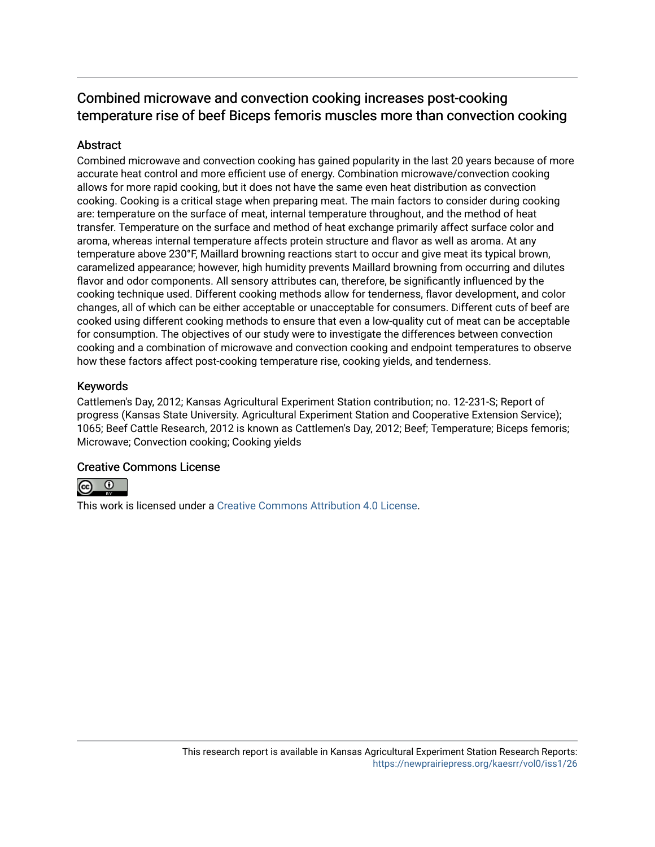# Combined microwave and convection cooking increases post-cooking temperature rise of beef Biceps femoris muscles more than convection cooking

### Abstract

Combined microwave and convection cooking has gained popularity in the last 20 years because of more accurate heat control and more efficient use of energy. Combination microwave/convection cooking allows for more rapid cooking, but it does not have the same even heat distribution as convection cooking. Cooking is a critical stage when preparing meat. The main factors to consider during cooking are: temperature on the surface of meat, internal temperature throughout, and the method of heat transfer. Temperature on the surface and method of heat exchange primarily affect surface color and aroma, whereas internal temperature affects protein structure and flavor as well as aroma. At any temperature above 230°F, Maillard browning reactions start to occur and give meat its typical brown, caramelized appearance; however, high humidity prevents Maillard browning from occurring and dilutes flavor and odor components. All sensory attributes can, therefore, be significantly influenced by the cooking technique used. Different cooking methods allow for tenderness, flavor development, and color changes, all of which can be either acceptable or unacceptable for consumers. Different cuts of beef are cooked using different cooking methods to ensure that even a low-quality cut of meat can be acceptable for consumption. The objectives of our study were to investigate the differences between convection cooking and a combination of microwave and convection cooking and endpoint temperatures to observe how these factors affect post-cooking temperature rise, cooking yields, and tenderness.

#### Keywords

Cattlemen's Day, 2012; Kansas Agricultural Experiment Station contribution; no. 12-231-S; Report of progress (Kansas State University. Agricultural Experiment Station and Cooperative Extension Service); 1065; Beef Cattle Research, 2012 is known as Cattlemen's Day, 2012; Beef; Temperature; Biceps femoris; Microwave; Convection cooking; Cooking yields

### Creative Commons License



This work is licensed under a [Creative Commons Attribution 4.0 License](https://creativecommons.org/licenses/by/4.0/).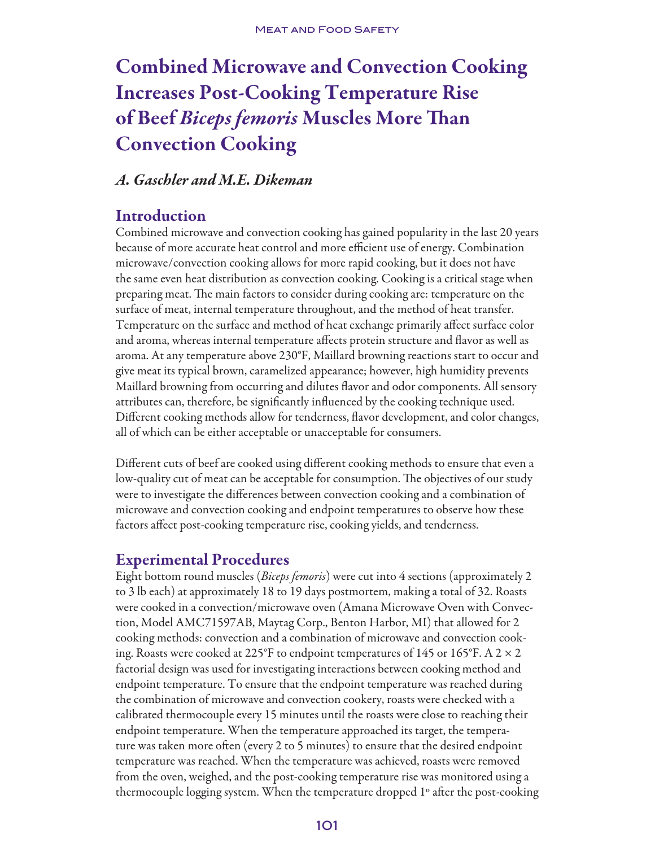# Combined Microwave and Convection Cooking Increases Post-Cooking Temperature Rise of Beef *Biceps femoris* Muscles More Than Convection Cooking

### *A. Gaschler and M.E. Dikeman*

## Introduction

Combined microwave and convection cooking has gained popularity in the last 20 years because of more accurate heat control and more efficient use of energy. Combination microwave/convection cooking allows for more rapid cooking, but it does not have the same even heat distribution as convection cooking. Cooking is a critical stage when preparing meat. The main factors to consider during cooking are: temperature on the surface of meat, internal temperature throughout, and the method of heat transfer. Temperature on the surface and method of heat exchange primarily affect surface color and aroma, whereas internal temperature affects protein structure and flavor as well as aroma. At any temperature above 230°F, Maillard browning reactions start to occur and give meat its typical brown, caramelized appearance; however, high humidity prevents Maillard browning from occurring and dilutes flavor and odor components. All sensory attributes can, therefore, be significantly influenced by the cooking technique used. Different cooking methods allow for tenderness, flavor development, and color changes, all of which can be either acceptable or unacceptable for consumers.

Different cuts of beef are cooked using different cooking methods to ensure that even a low-quality cut of meat can be acceptable for consumption. The objectives of our study were to investigate the differences between convection cooking and a combination of microwave and convection cooking and endpoint temperatures to observe how these factors affect post-cooking temperature rise, cooking yields, and tenderness.

# Experimental Procedures

Eight bottom round muscles (*Biceps femoris*) were cut into 4 sections (approximately 2 to 3 lb each) at approximately 18 to 19 days postmortem, making a total of 32. Roasts were cooked in a convection/microwave oven (Amana Microwave Oven with Convection, Model AMC71597AB, Maytag Corp., Benton Harbor, MI) that allowed for 2 cooking methods: convection and a combination of microwave and convection cooking. Roasts were cooked at 225°F to endpoint temperatures of 145 or 165°F. A 2  $\times$  2 factorial design was used for investigating interactions between cooking method and endpoint temperature. To ensure that the endpoint temperature was reached during the combination of microwave and convection cookery, roasts were checked with a calibrated thermocouple every 15 minutes until the roasts were close to reaching their endpoint temperature. When the temperature approached its target, the temperature was taken more often (every 2 to 5 minutes) to ensure that the desired endpoint temperature was reached. When the temperature was achieved, roasts were removed from the oven, weighed, and the post-cooking temperature rise was monitored using a thermocouple logging system. When the temperature dropped 1º after the post-cooking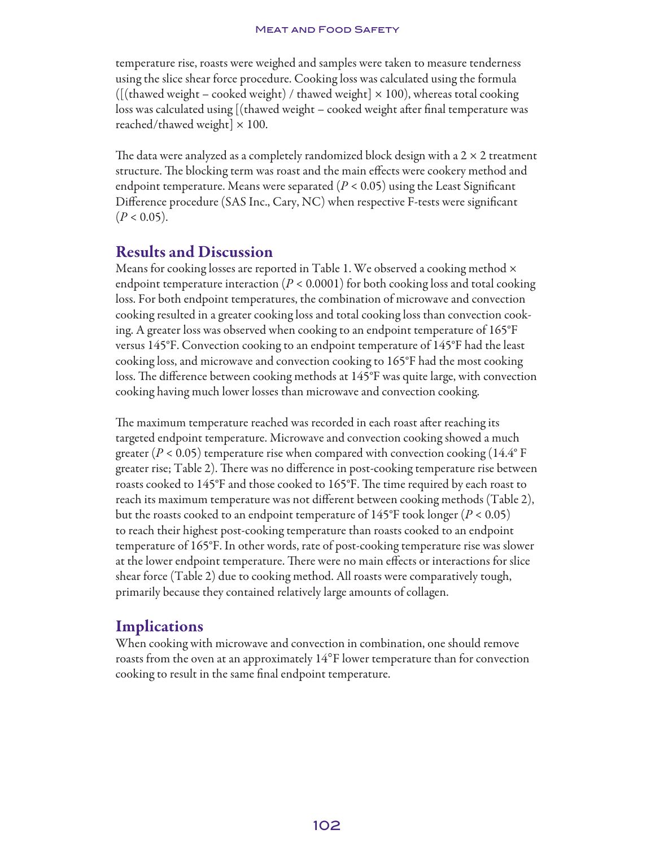temperature rise, roasts were weighed and samples were taken to measure tenderness using the slice shear force procedure. Cooking loss was calculated using the formula ( $[($ thawed weight – cooked weight) / thawed weight $] \times 100$ ), whereas total cooking loss was calculated using [(thawed weight – cooked weight after final temperature was reached/thawed weight $] \times 100$ .

The data were analyzed as a completely randomized block design with a  $2 \times 2$  treatment structure. The blocking term was roast and the main effects were cookery method and endpoint temperature. Means were separated (*P* < 0.05) using the Least Significant Difference procedure (SAS Inc., Cary, NC) when respective F-tests were significant  $(P < 0.05)$ .

## Results and Discussion

Means for cooking losses are reported in Table 1. We observed a cooking method  $\times$ endpoint temperature interaction (*P* < 0.0001) for both cooking loss and total cooking loss. For both endpoint temperatures, the combination of microwave and convection cooking resulted in a greater cooking loss and total cooking loss than convection cooking. A greater loss was observed when cooking to an endpoint temperature of 165°F versus 145°F. Convection cooking to an endpoint temperature of 145°F had the least cooking loss, and microwave and convection cooking to 165°F had the most cooking loss. The difference between cooking methods at 145°F was quite large, with convection cooking having much lower losses than microwave and convection cooking.

The maximum temperature reached was recorded in each roast after reaching its targeted endpoint temperature. Microwave and convection cooking showed a much greater ( $P < 0.05$ ) temperature rise when compared with convection cooking (14.4° F) greater rise; Table 2). There was no difference in post-cooking temperature rise between roasts cooked to 145°F and those cooked to 165°F. The time required by each roast to reach its maximum temperature was not different between cooking methods (Table 2), but the roasts cooked to an endpoint temperature of 145°F took longer (*P* < 0.05) to reach their highest post-cooking temperature than roasts cooked to an endpoint temperature of 165°F. In other words, rate of post-cooking temperature rise was slower at the lower endpoint temperature. There were no main effects or interactions for slice shear force (Table 2) due to cooking method. All roasts were comparatively tough, primarily because they contained relatively large amounts of collagen.

## **Implications**

When cooking with microwave and convection in combination, one should remove roasts from the oven at an approximately  $14^{\circ}$ F lower temperature than for convection cooking to result in the same final endpoint temperature.